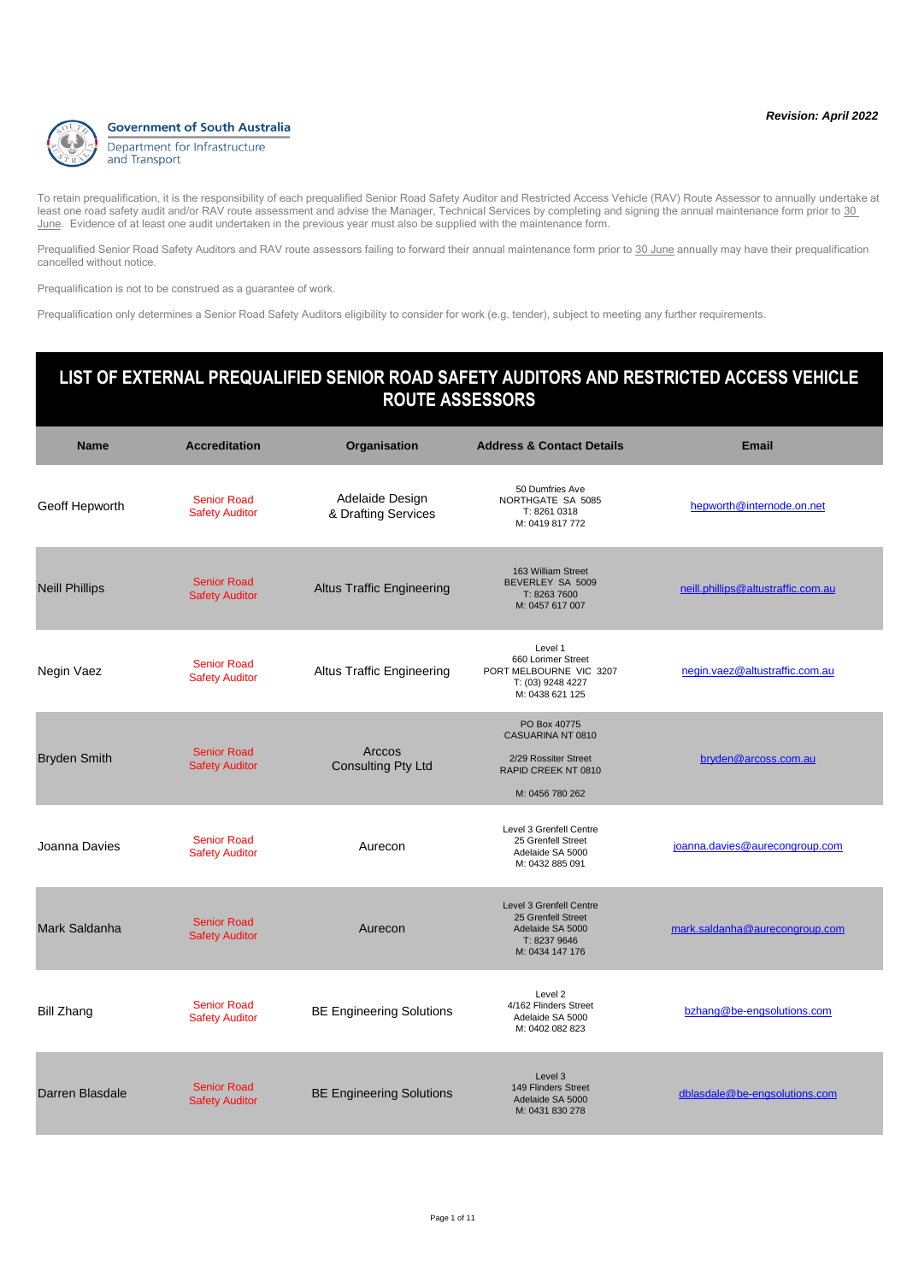

Prequalified Senior Road Safety Auditors and RAV route assessors failing to forward their annual maintenance form prior to 30 June annually may have their prequalification cancelled without notice.

Prequalification is not to be construed as a guarantee of work.

Prequalification only determines a Senior Road Safety Auditors eligibility to consider for work (e.g. tender), subject to meeting any further requirements.

| <b>Name</b>           | <b>Accreditation</b>                        | Organisation                           | <b>Address &amp; Contact Details</b>                                                                 | <b>Email</b>                       |
|-----------------------|---------------------------------------------|----------------------------------------|------------------------------------------------------------------------------------------------------|------------------------------------|
| Geoff Hepworth        | <b>Senior Road</b><br><b>Safety Auditor</b> | Adelaide Design<br>& Drafting Services | 50 Dumfries Ave<br>NORTHGATE SA 5085<br>T: 8261 0318<br>M: 0419 817 772                              | hepworth@internode.on.net          |
| <b>Neill Phillips</b> | <b>Senior Road</b><br><b>Safety Auditor</b> | <b>Altus Traffic Engineering</b>       | 163 William Street<br>BEVERLEY SA 5009<br>T: 8263 7600<br>M: 0457 617 007                            | neill.phillips@altustraffic.com.au |
| Negin Vaez            | <b>Senior Road</b><br><b>Safety Auditor</b> | <b>Altus Traffic Engineering</b>       | Level 1<br>660 Lorimer Street<br>PORT MELBOURNE VIC 3207<br>T: (03) 9248 4227<br>M: 0438 621 125     | negin.vaez@altustraffic.com.au     |
| <b>Bryden Smith</b>   | <b>Senior Road</b><br><b>Safety Auditor</b> | Arccos<br><b>Consulting Pty Ltd</b>    | PO Box 40775<br>CASUARINA NT 0810<br>2/29 Rossiter Street<br>RAPID CREEK NT 0810<br>M: 0456 780 262  | bryden@arcoss.com.au               |
| Joanna Davies         | <b>Senior Road</b><br><b>Safety Auditor</b> | Aurecon                                | Level 3 Grenfell Centre<br>25 Grenfell Street<br>Adelaide SA 5000<br>M: 0432 885 091                 | joanna.davies@aurecongroup.com     |
| Mark Saldanha         | <b>Senior Road</b><br><b>Safety Auditor</b> | Aurecon                                | Level 3 Grenfell Centre<br>25 Grenfell Street<br>Adelaide SA 5000<br>T: 8237 9646<br>M: 0434 147 176 | mark.saldanha@aurecongroup.com     |
| <b>Bill Zhang</b>     | <b>Senior Road</b><br><b>Safety Auditor</b> | <b>BE Engineering Solutions</b>        | Level 2<br>4/162 Flinders Street<br>Adelaide SA 5000<br>M: 0402 082 823                              | bzhang@be-engsolutions.com         |
| Darren Blasdale       | <b>Senior Road</b><br><b>Safety Auditor</b> | <b>BE Engineering Solutions</b>        | Level 3<br>149 Flinders Street<br>Adelaide SA 5000<br>M: 0431 830 278                                | dblasdale@be-engsolutions.com      |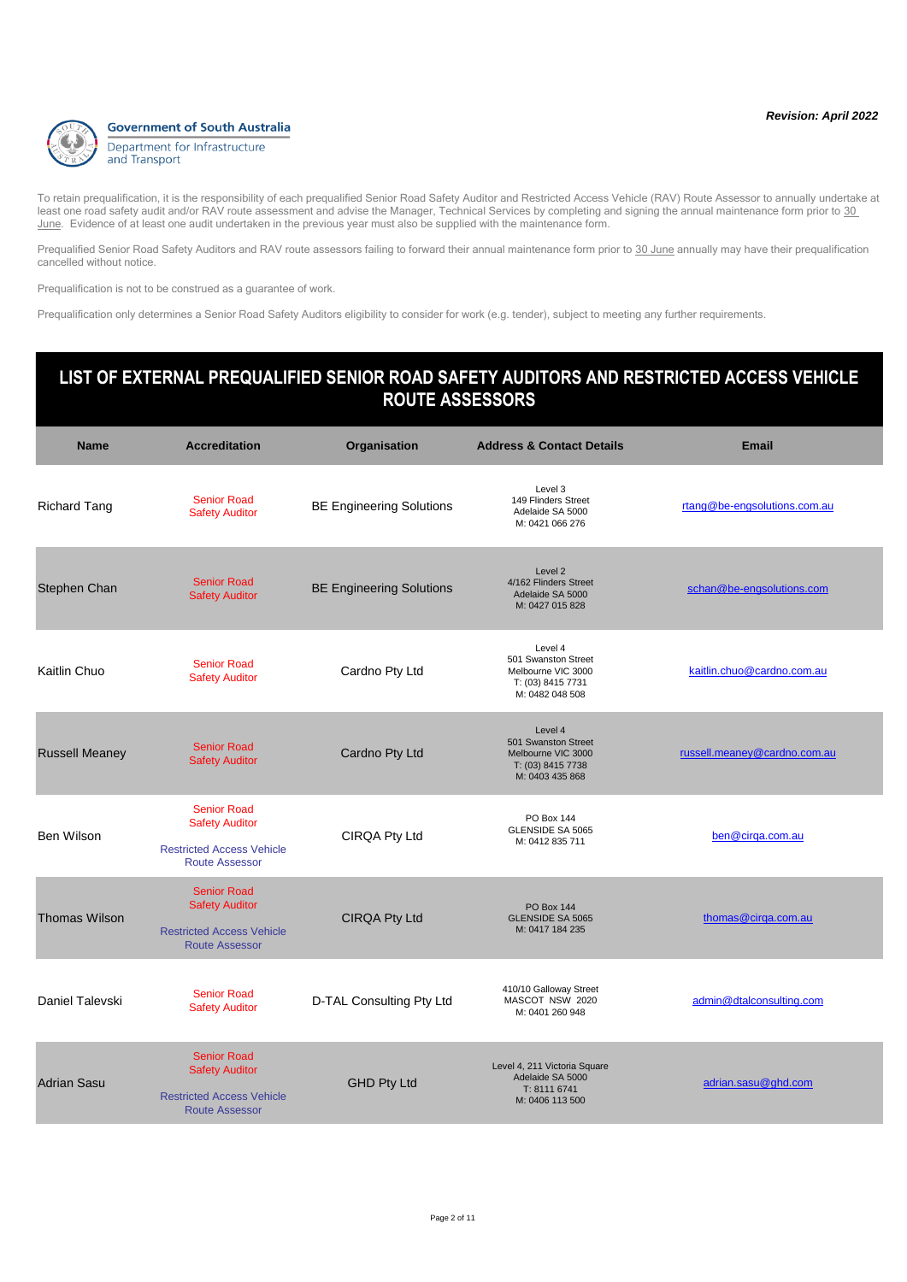

Prequalified Senior Road Safety Auditors and RAV route assessors failing to forward their annual maintenance form prior to 30 June annually may have their prequalification cancelled without notice.

Prequalification is not to be construed as a guarantee of work.

Prequalification only determines a Senior Road Safety Auditors eligibility to consider for work (e.g. tender), subject to meeting any further requirements.

| <b>Name</b>           | <b>Accreditation</b>                                                                                     | Organisation                    | <b>Address &amp; Contact Details</b>                                                         | <b>Email</b>                 |
|-----------------------|----------------------------------------------------------------------------------------------------------|---------------------------------|----------------------------------------------------------------------------------------------|------------------------------|
| <b>Richard Tang</b>   | <b>Senior Road</b><br><b>Safety Auditor</b>                                                              | <b>BE Engineering Solutions</b> | Level 3<br>149 Flinders Street<br>Adelaide SA 5000<br>M: 0421 066 276                        | rtang@be-engsolutions.com.au |
| Stephen Chan          | <b>Senior Road</b><br><b>Safety Auditor</b>                                                              | <b>BE Engineering Solutions</b> | Level 2<br>4/162 Flinders Street<br>Adelaide SA 5000<br>M: 0427 015 828                      | schan@be-engsolutions.com    |
| Kaitlin Chuo          | <b>Senior Road</b><br><b>Safety Auditor</b>                                                              | Cardno Pty Ltd                  | Level 4<br>501 Swanston Street<br>Melbourne VIC 3000<br>T: (03) 8415 7731<br>M: 0482 048 508 | kaitlin.chuo@cardno.com.au   |
| <b>Russell Meaney</b> | <b>Senior Road</b><br><b>Safety Auditor</b>                                                              | Cardno Pty Ltd                  | Level 4<br>501 Swanston Street<br>Melbourne VIC 3000<br>T: (03) 8415 7738<br>M: 0403 435 868 | russell.meaney@cardno.com.au |
| <b>Ben Wilson</b>     | <b>Senior Road</b><br><b>Safety Auditor</b><br><b>Restricted Access Vehicle</b><br><b>Route Assessor</b> | CIRQA Pty Ltd                   | <b>PO Box 144</b><br>GLENSIDE SA 5065<br>M: 0412 835 711                                     | ben@cirga.com.au             |
| <b>Thomas Wilson</b>  | <b>Senior Road</b><br><b>Safety Auditor</b><br><b>Restricted Access Vehicle</b><br><b>Route Assessor</b> | <b>CIRQA Pty Ltd</b>            | <b>PO Box 144</b><br><b>GLENSIDE SA 5065</b><br>M: 0417 184 235                              | thomas@cirga.com.au          |
| Daniel Talevski       | <b>Senior Road</b><br><b>Safety Auditor</b>                                                              | D-TAL Consulting Pty Ltd        | 410/10 Galloway Street<br>MASCOT NSW 2020<br>M: 0401 260 948                                 | admin@dtalconsulting.com     |
| <b>Adrian Sasu</b>    | <b>Senior Road</b><br><b>Safety Auditor</b><br><b>Restricted Access Vehicle</b><br><b>Route Assessor</b> | <b>GHD Pty Ltd</b>              | Level 4, 211 Victoria Square<br>Adelaide SA 5000<br>T: 8111 6741<br>M: 0406 113 500          | adrian.sasu@ghd.com          |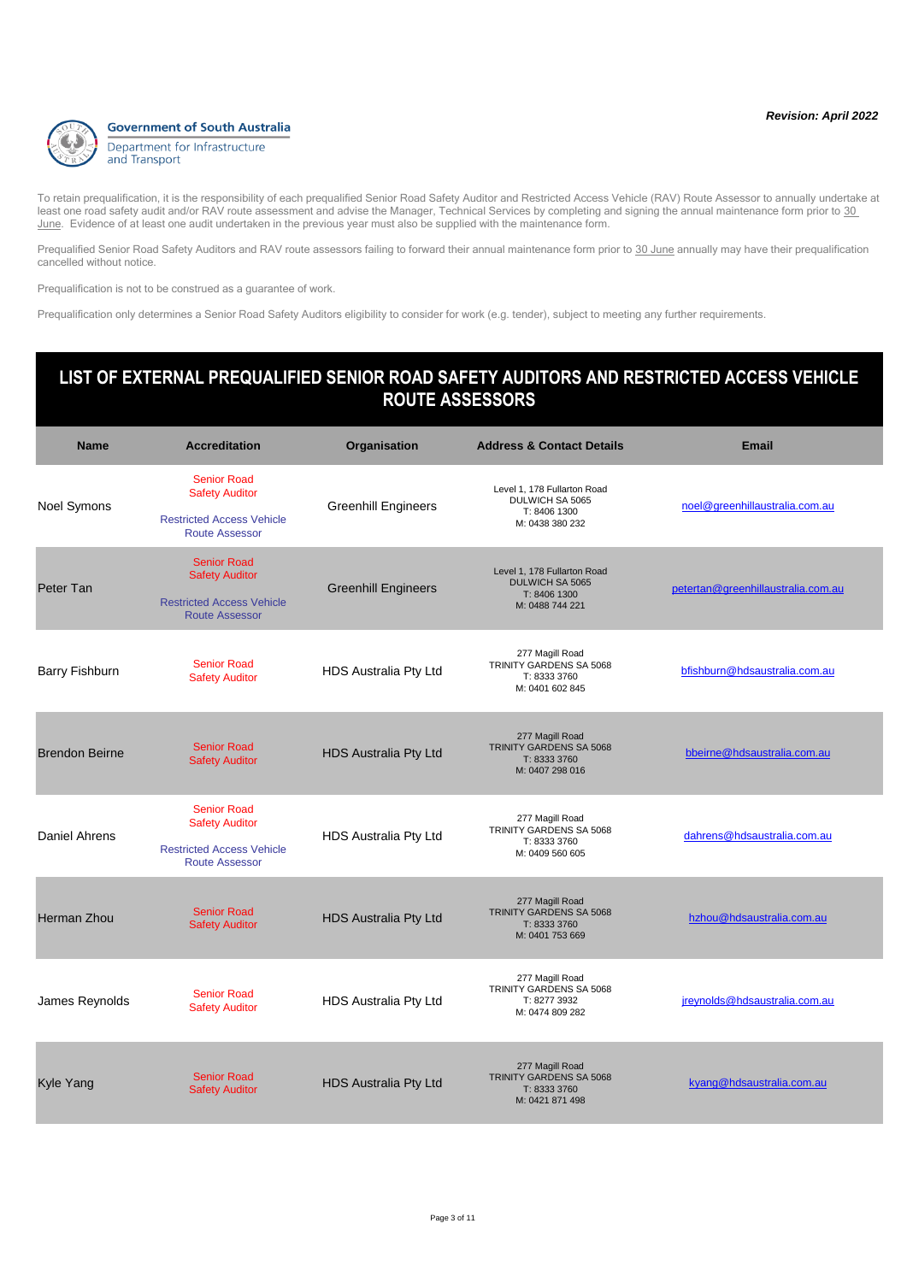

Prequalified Senior Road Safety Auditors and RAV route assessors failing to forward their annual maintenance form prior to 30 June annually may have their prequalification cancelled without notice.

Prequalification is not to be construed as a guarantee of work.

Prequalification only determines a Senior Road Safety Auditors eligibility to consider for work (e.g. tender), subject to meeting any further requirements.

| <b>Name</b>           | <b>Accreditation</b>                                                                                     | Organisation                 | <b>Address &amp; Contact Details</b>                                                     | <b>Email</b>                       |
|-----------------------|----------------------------------------------------------------------------------------------------------|------------------------------|------------------------------------------------------------------------------------------|------------------------------------|
| <b>Noel Symons</b>    | <b>Senior Road</b><br><b>Safety Auditor</b><br><b>Restricted Access Vehicle</b><br><b>Route Assessor</b> | <b>Greenhill Engineers</b>   | Level 1, 178 Fullarton Road<br>DULWICH SA 5065<br>T: 8406 1300<br>M: 0438 380 232        | noel@greenhillaustralia.com.au     |
| Peter Tan             | <b>Senior Road</b><br><b>Safety Auditor</b><br><b>Restricted Access Vehicle</b><br><b>Route Assessor</b> | <b>Greenhill Engineers</b>   | Level 1, 178 Fullarton Road<br><b>DULWICH SA 5065</b><br>T: 8406 1300<br>M: 0488 744 221 | petertan@greenhillaustralia.com.au |
| <b>Barry Fishburn</b> | <b>Senior Road</b><br><b>Safety Auditor</b>                                                              | HDS Australia Pty Ltd        | 277 Magill Road<br>TRINITY GARDENS SA 5068<br>T: 8333 3760<br>M: 0401 602 845            | bfishburn@hdsaustralia.com.au      |
| <b>Brendon Beirne</b> | <b>Senior Road</b><br><b>Safety Auditor</b>                                                              | <b>HDS Australia Pty Ltd</b> | 277 Magill Road<br>TRINITY GARDENS SA 5068<br>T: 8333 3760<br>M: 0407 298 016            | bbeirne@hdsaustralia.com.au        |
| <b>Daniel Ahrens</b>  | <b>Senior Road</b><br><b>Safety Auditor</b><br><b>Restricted Access Vehicle</b><br><b>Route Assessor</b> | HDS Australia Pty Ltd        | 277 Magill Road<br>TRINITY GARDENS SA 5068<br>T: 8333 3760<br>M: 0409 560 605            | dahrens@hdsaustralia.com.au        |
| <b>Herman Zhou</b>    | <b>Senior Road</b><br><b>Safety Auditor</b>                                                              | <b>HDS Australia Pty Ltd</b> | 277 Magill Road<br><b>TRINITY GARDENS SA 5068</b><br>T: 8333 3760<br>M: 0401 753 669     | hzhou@hdsaustralia.com.au          |
| James Reynolds        | <b>Senior Road</b><br><b>Safety Auditor</b>                                                              | <b>HDS Australia Pty Ltd</b> | 277 Magill Road<br>TRINITY GARDENS SA 5068<br>T: 8277 3932<br>M: 0474 809 282            | jreynolds@hdsaustralia.com.au      |
| <b>Kyle Yang</b>      | <b>Senior Road</b><br><b>Safety Auditor</b>                                                              | <b>HDS Australia Pty Ltd</b> | 277 Magill Road<br>TRINITY GARDENS SA 5068<br>T: 8333 3760<br>M: 0421 871 498            | kyang@hdsaustralia.com.au          |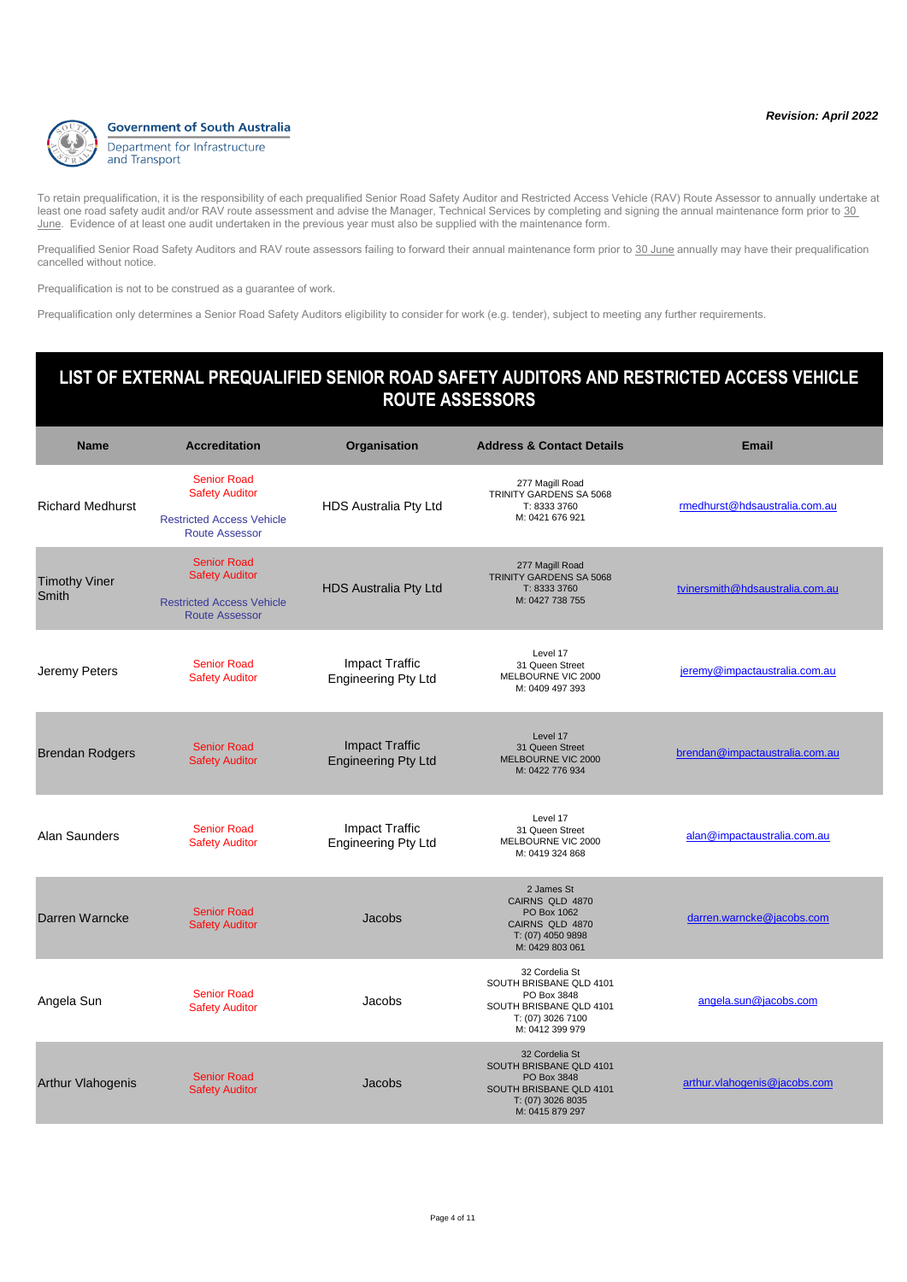

Prequalified Senior Road Safety Auditors and RAV route assessors failing to forward their annual maintenance form prior to 30 June annually may have their prequalification cancelled without notice.

Prequalification is not to be construed as a guarantee of work.

Prequalification only determines a Senior Road Safety Auditors eligibility to consider for work (e.g. tender), subject to meeting any further requirements.

| <b>Name</b>                   | <b>Accreditation</b>                                                                                     | Organisation                                        | <b>Address &amp; Contact Details</b>                                                                                        | <b>Email</b>                    |
|-------------------------------|----------------------------------------------------------------------------------------------------------|-----------------------------------------------------|-----------------------------------------------------------------------------------------------------------------------------|---------------------------------|
| <b>Richard Medhurst</b>       | <b>Senior Road</b><br><b>Safety Auditor</b><br><b>Restricted Access Vehicle</b><br><b>Route Assessor</b> | HDS Australia Pty Ltd                               | 277 Magill Road<br>TRINITY GARDENS SA 5068<br>T: 8333 3760<br>M: 0421 676 921                                               | rmedhurst@hdsaustralia.com.au   |
| <b>Timothy Viner</b><br>Smith | <b>Senior Road</b><br><b>Safety Auditor</b><br><b>Restricted Access Vehicle</b><br>Route Assessor        | <b>HDS Australia Pty Ltd</b>                        | 277 Magill Road<br>TRINITY GARDENS SA 5068<br>T: 8333 3760<br>M: 0427 738 755                                               | tvinersmith@hdsaustralia.com.au |
| Jeremy Peters                 | <b>Senior Road</b><br><b>Safety Auditor</b>                                                              | <b>Impact Traffic</b><br><b>Engineering Pty Ltd</b> | Level 17<br>31 Queen Street<br>MELBOURNE VIC 2000<br>M: 0409 497 393                                                        | jeremy@impactaustralia.com.au   |
| <b>Brendan Rodgers</b>        | <b>Senior Road</b><br><b>Safety Auditor</b>                                                              | <b>Impact Traffic</b><br><b>Engineering Pty Ltd</b> | Level 17<br>31 Queen Street<br>MELBOURNE VIC 2000<br>M: 0422 776 934                                                        | brendan@impactaustralia.com.au  |
| Alan Saunders                 | <b>Senior Road</b><br><b>Safety Auditor</b>                                                              | <b>Impact Traffic</b><br><b>Engineering Pty Ltd</b> | Level 17<br>31 Queen Street<br>MELBOURNE VIC 2000<br>M: 0419 324 868                                                        | alan@impactaustralia.com.au     |
| Darren Warncke                | <b>Senior Road</b><br><b>Safety Auditor</b>                                                              | Jacobs                                              | 2 James St<br>CAIRNS QLD 4870<br>PO Box 1062<br>CAIRNS QLD 4870<br>T: (07) 4050 9898<br>M: 0429 803 061                     | darren.warncke@jacobs.com       |
| Angela Sun                    | <b>Senior Road</b><br><b>Safety Auditor</b>                                                              | Jacobs                                              | 32 Cordelia St<br>SOUTH BRISBANE QLD 4101<br>PO Box 3848<br>SOUTH BRISBANE QLD 4101<br>T: (07) 3026 7100<br>M: 0412 399 979 | angela.sun@jacobs.com           |
| <b>Arthur Vlahogenis</b>      | <b>Senior Road</b><br><b>Safety Auditor</b>                                                              | Jacobs                                              | 32 Cordelia St<br>SOUTH BRISBANE QLD 4101<br>PO Box 3848<br>SOUTH BRISBANE QLD 4101<br>T: (07) 3026 8035<br>M: 0415 879 297 | arthur.vlahogenis@jacobs.com    |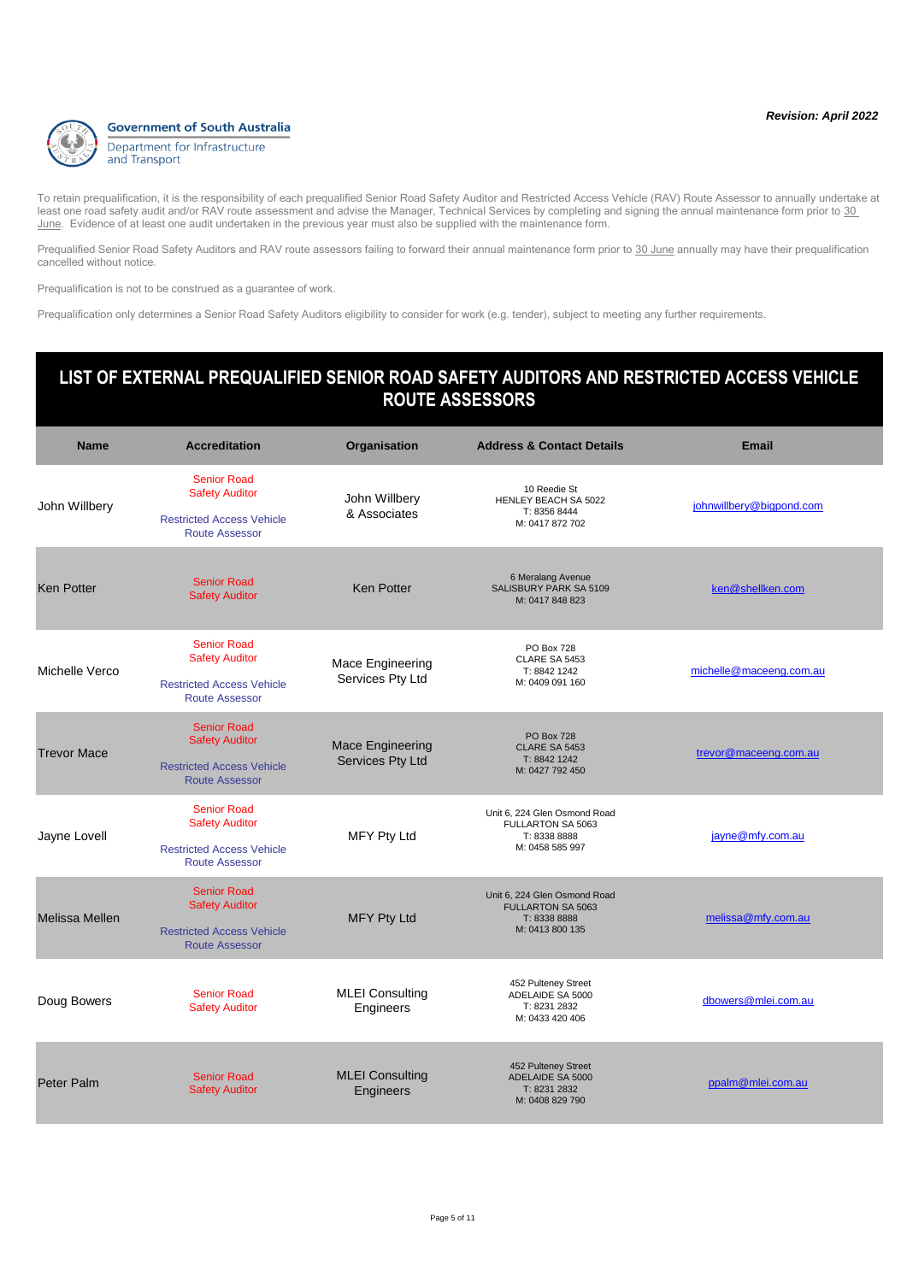

Prequalified Senior Road Safety Auditors and RAV route assessors failing to forward their annual maintenance form prior to 30 June annually may have their prequalification cancelled without notice.

Prequalification is not to be construed as a guarantee of work.

Prequalification only determines a Senior Road Safety Auditors eligibility to consider for work (e.g. tender), subject to meeting any further requirements.

| <b>Name</b>           | <b>Accreditation</b>                                                                                     | Organisation                                | <b>Address &amp; Contact Details</b>                                                        | <b>Email</b>             |
|-----------------------|----------------------------------------------------------------------------------------------------------|---------------------------------------------|---------------------------------------------------------------------------------------------|--------------------------|
| John Willbery         | <b>Senior Road</b><br><b>Safety Auditor</b><br><b>Restricted Access Vehicle</b><br><b>Route Assessor</b> | John Willbery<br>& Associates               | 10 Reedie St<br>HENLEY BEACH SA 5022<br>T: 8356 8444<br>M: 0417 872 702                     | johnwillbery@bigpond.com |
| <b>Ken Potter</b>     | <b>Senior Road</b><br><b>Safety Auditor</b>                                                              | <b>Ken Potter</b>                           | 6 Meralang Avenue<br>SALISBURY PARK SA 5109<br>M: 0417 848 823                              | ken@shellken.com         |
| Michelle Verco        | <b>Senior Road</b><br><b>Safety Auditor</b><br><b>Restricted Access Vehicle</b><br><b>Route Assessor</b> | Mace Engineering<br>Services Pty Ltd        | <b>PO Box 728</b><br>CLARE SA 5453<br>T: 8842 1242<br>M: 0409 091 160                       | michelle@maceeng.com.au  |
| <b>Trevor Mace</b>    | <b>Senior Road</b><br><b>Safety Auditor</b><br><b>Restricted Access Vehicle</b><br><b>Route Assessor</b> | <b>Mace Engineering</b><br>Services Pty Ltd | <b>PO Box 728</b><br>CLARE SA 5453<br>T: 8842 1242<br>M: 0427 792 450                       | trevor@maceeng.com.au    |
| Jayne Lovell          | <b>Senior Road</b><br><b>Safety Auditor</b><br><b>Restricted Access Vehicle</b><br><b>Route Assessor</b> | <b>MFY Pty Ltd</b>                          | Unit 6, 224 Glen Osmond Road<br>FULLARTON SA 5063<br>T: 8338 8888<br>M: 0458 585 997        | jayne@mfy.com.au         |
| <b>Melissa Mellen</b> | <b>Senior Road</b><br><b>Safety Auditor</b><br><b>Restricted Access Vehicle</b><br><b>Route Assessor</b> | <b>MFY Pty Ltd</b>                          | Unit 6, 224 Glen Osmond Road<br><b>FULLARTON SA 5063</b><br>T: 8338 8888<br>M: 0413 800 135 | melissa@mfy.com.au       |
| Doug Bowers           | <b>Senior Road</b><br><b>Safety Auditor</b>                                                              | <b>MLEI Consulting</b><br>Engineers         | 452 Pulteney Street<br>ADELAIDE SA 5000<br>T: 8231 2832<br>M: 0433 420 406                  | dbowers@mlei.com.au      |
| <b>Peter Palm</b>     | <b>Senior Road</b><br><b>Safety Auditor</b>                                                              | <b>MLEI Consulting</b><br>Engineers         | 452 Pulteney Street<br>ADELAIDE SA 5000<br>T: 8231 2832<br>M: 0408 829 790                  | ppalm@mlei.com.au        |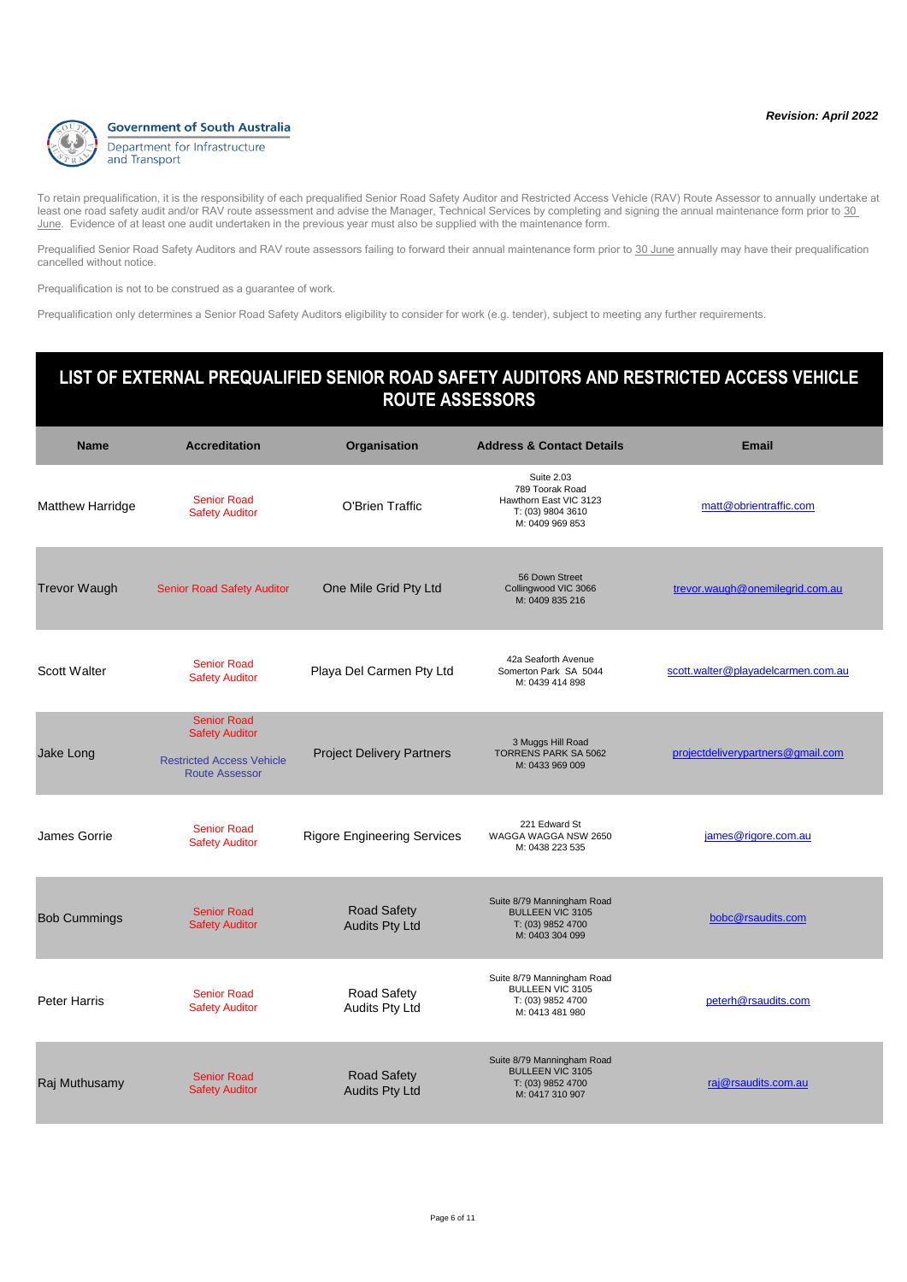

Prequalified Senior Road Safety Auditors and RAV route assessors failing to forward their annual maintenance form prior to 30 June annually may have their prequalification cancelled without notice.

Prequalification is not to be construed as a guarantee of work.

Prequalification only determines a Senior Road Safety Auditors eligibility to consider for work (e.g. tender), subject to meeting any further requirements.

### **Name Accreditation Organisation Address & Contact Details Email LIST OF EXTERNAL PREQUALIFIED SENIOR ROAD SAFETY AUDITORS AND RESTRICTED ACCESS VEHICLE ROUTE ASSESSORS Matthew Harridge** Senior Road Senior Road<br>
Safety Auditor **Canadian Contract O'Brien Traffic** Suite 2.03 789 Toorak Road Hawthorn East VIC 3123 T: (03) 9804 3610 M: 0409 969 853 [matt@obrientraffic.com](mailto:matt@obrientraffic.com) Trevor Waugh Senior Road Safety Auditor One Mile Grid Pty Ltd 56 Down Street Collingwood VIC 3066 M: 0409 835 216 [trevor.waugh@onemilegrid.com.au](mailto:trevor.waugh@onemilegrid.com.au)

| <b>Scott Walter</b> | <b>Senior Road</b><br><b>Safety Auditor</b>                                                              | Playa Del Carmen Pty Ltd                    | 42a Seaforth Avenue<br>Somerton Park SA 5044<br>M: 0439 414 898                               | scott.walter@playadelcarmen.com.au |
|---------------------|----------------------------------------------------------------------------------------------------------|---------------------------------------------|-----------------------------------------------------------------------------------------------|------------------------------------|
| Jake Long           | <b>Senior Road</b><br><b>Safety Auditor</b><br><b>Restricted Access Vehicle</b><br><b>Route Assessor</b> | <b>Project Delivery Partners</b>            | 3 Muggs Hill Road<br><b>TORRENS PARK SA 5062</b><br>M: 0433 969 009                           | projectdeliverypartners@gmail.com  |
| James Gorrie        | <b>Senior Road</b><br><b>Safety Auditor</b>                                                              | <b>Rigore Engineering Services</b>          | 221 Edward St<br>WAGGA WAGGA NSW 2650<br>M: 0438 223 535                                      | james@rigore.com.au                |
| <b>Bob Cummings</b> | <b>Senior Road</b><br><b>Safety Auditor</b>                                                              | <b>Road Safety</b><br><b>Audits Pty Ltd</b> | Suite 8/79 Manningham Road<br><b>BULLEEN VIC 3105</b><br>T: (03) 9852 4700<br>M: 0403 304 099 | bobc@rsaudits.com                  |
| <b>Peter Harris</b> | <b>Senior Road</b><br><b>Safety Auditor</b>                                                              | Road Safety<br>Audits Pty Ltd               | Suite 8/79 Manningham Road<br><b>BULLEEN VIC 3105</b><br>T: (03) 9852 4700<br>M: 0413 481 980 | peterh@rsaudits.com                |
| Raj Muthusamy       | <b>Senior Road</b><br><b>Safety Auditor</b>                                                              | <b>Road Safety</b><br><b>Audits Pty Ltd</b> | Suite 8/79 Manningham Road<br><b>BULLEEN VIC 3105</b><br>T: (03) 9852 4700<br>M: 0417 310 907 | raj@rsaudits.com.au                |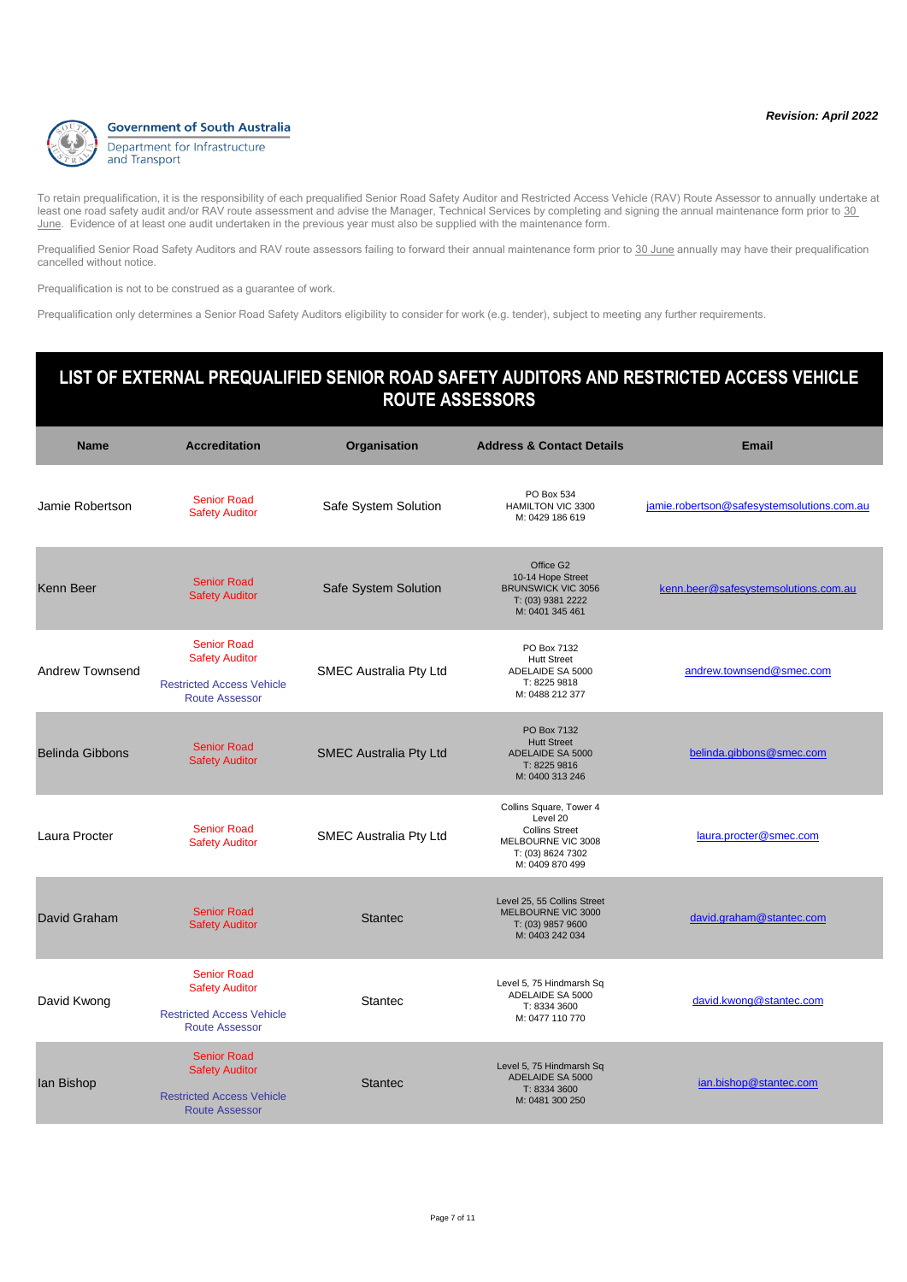

Prequalified Senior Road Safety Auditors and RAV route assessors failing to forward their annual maintenance form prior to 30 June annually may have their prequalification cancelled without notice.

Prequalification is not to be construed as a guarantee of work.

Prequalification only determines a Senior Road Safety Auditors eligibility to consider for work (e.g. tender), subject to meeting any further requirements.

#### **Name Accreditation Organisation Address & Contact Details Email LIST OF EXTERNAL PREQUALIFIED SENIOR ROAD SAFETY AUDITORS AND RESTRICTED ACCESS VEHICLE ROUTE ASSESSORS** Jamie Robertson Senior Road<br>Safety Auditor Safe System Solution PO Box 534 HAMILTON VIC 3300 M: 0429 186 619 iamie.robertson@safesystemsolutions.com.au Kenn Beer Senior Road<br>Safety Auditor Safe System Solution Office G2 10-14 Hope Street BRUNSWICK VIC 3056 T: (03) 9381 2222 M: 0401 345 461 [kenn.beer@safesystemsolutions.com.au](mailto:kenn.beer@safesystemsolutions.com.au) Andrew Townsend Senior Road Safety Auditor Restricted Access Vehicle Route Assessor SMEC Australia Pty Ltd PO Box 7132 Hutt Street ADELAIDE SA 5000 T: 8225 9818 M: 0488 212 377 [andrew.townsend@smec.com](mailto:andrew.townsend@smec.com) Belinda Gibbons Senior Road<br>Safety Auditor SMEC Australia Pty Ltd PO Box 7132 Hutt Street ADELAIDE SA 5000 T: 8225 9816 M: 0400 313 246 [belinda.gibbons@smec.com](mailto:belinda.gibbons@smec.com) Laura Procter Senior Road<br>Safety Auditor SMEC Australia Pty Ltd Collins Square, Tower 4 Level 20 Collins Street MELBOURNE VIC 3008 T: (03) 8624 7302 M: 0409 870 499 [laura.procter@smec.com](mailto:laura.procter@smec.com) **David Graham** Senior Road Senior Road<br>Safety Auditor Safety Auditor Level 25, 55 Collins Street MELBOURNE VIC 3000 T: (03) 9857 9600 M: 0403 242 034 [david.graham@stantec.com](mailto:david.graham@stantec.com) David Kwong Senior Road Safety Auditor Restricted Access Vehicle Route Assessor Stantec Level 5, 75 Hindmarsh Sq ADELAIDE SA 5000 T: 8334 3600 M: 0477 110 770 [david.kwong@stantec.com](mailto:david.kwong@stantec.com) Ian Bishop Senior Road Safety Auditor Restricted Access Vehicle Route Assessor **Stantec** Level 5, 75 Hindmarsh Sq ADELAIDE SA 5000 T: 8334 3600 M: 0481 300 250 [ian.bishop@stantec.com](mailto:ian.bishop@stantec.com)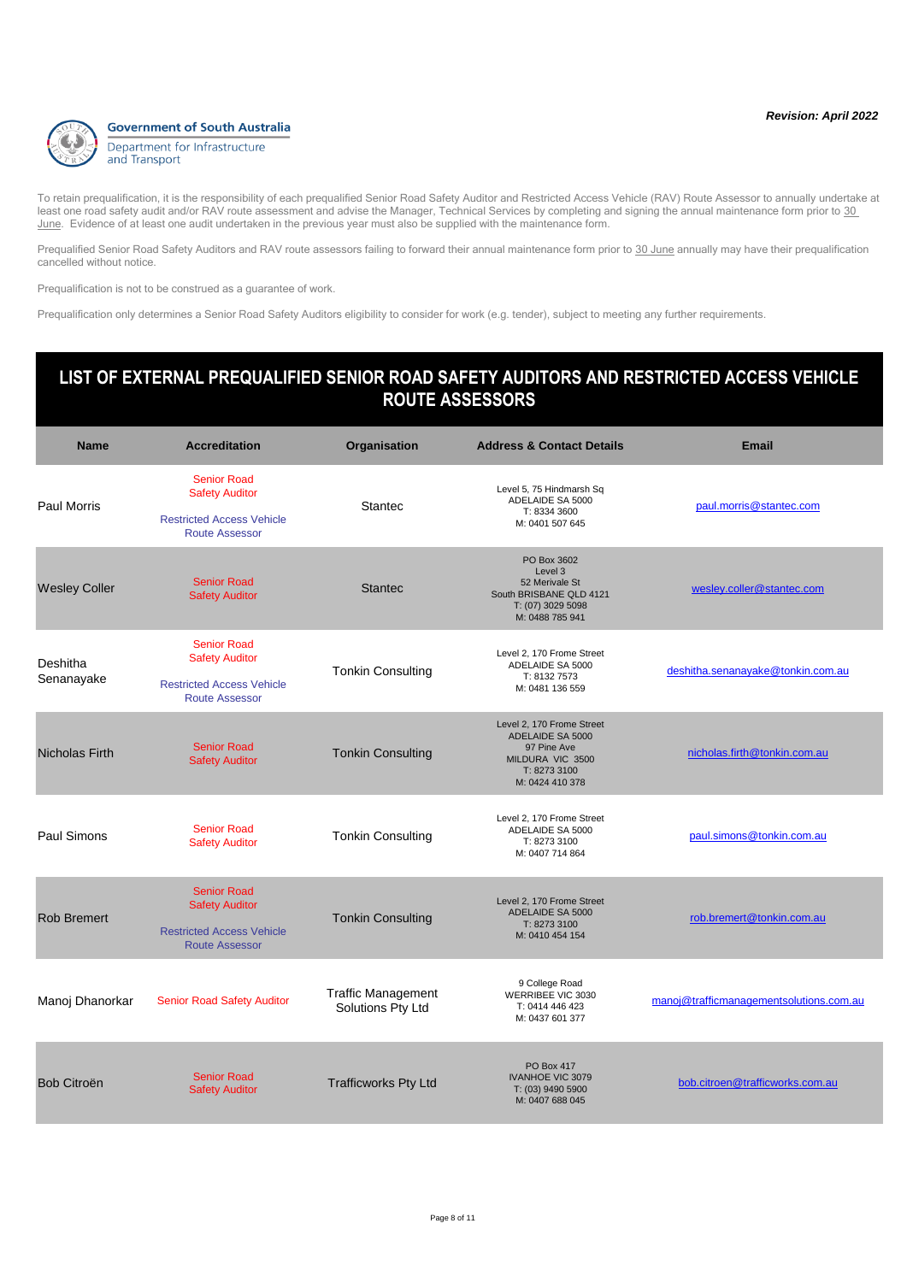

Prequalified Senior Road Safety Auditors and RAV route assessors failing to forward their annual maintenance form prior to 30 June annually may have their prequalification cancelled without notice.

Prequalification is not to be construed as a guarantee of work.

Prequalification only determines a Senior Road Safety Auditors eligibility to consider for work (e.g. tender), subject to meeting any further requirements.

| <b>Name</b>            | <b>Accreditation</b>                                                                                     | Organisation                                   | <b>Address &amp; Contact Details</b>                                                                                | <b>Email</b>                            |
|------------------------|----------------------------------------------------------------------------------------------------------|------------------------------------------------|---------------------------------------------------------------------------------------------------------------------|-----------------------------------------|
| <b>Paul Morris</b>     | <b>Senior Road</b><br><b>Safety Auditor</b><br><b>Restricted Access Vehicle</b><br><b>Route Assessor</b> | <b>Stantec</b>                                 | Level 5, 75 Hindmarsh Sq<br>ADELAIDE SA 5000<br>T: 8334 3600<br>M: 0401 507 645                                     | paul.morris@stantec.com                 |
| <b>Wesley Coller</b>   | <b>Senior Road</b><br><b>Safety Auditor</b>                                                              | <b>Stantec</b>                                 | PO Box 3602<br>Level 3<br>52 Merivale St<br>South BRISBANE QLD 4121<br>T: (07) 3029 5098<br>M: 0488 785 941         | wesley.coller@stantec.com               |
| Deshitha<br>Senanayake | <b>Senior Road</b><br><b>Safety Auditor</b><br><b>Restricted Access Vehicle</b><br><b>Route Assessor</b> | <b>Tonkin Consulting</b>                       | Level 2, 170 Frome Street<br>ADELAIDE SA 5000<br>T: 8132 7573<br>M: 0481 136 559                                    | deshitha.senanayake@tonkin.com.au       |
| <b>Nicholas Firth</b>  | <b>Senior Road</b><br><b>Safety Auditor</b>                                                              | <b>Tonkin Consulting</b>                       | Level 2, 170 Frome Street<br>ADELAIDE SA 5000<br>97 Pine Ave<br>MILDURA VIC 3500<br>T: 8273 3100<br>M: 0424 410 378 | nicholas.firth@tonkin.com.au            |
| Paul Simons            | <b>Senior Road</b><br><b>Safety Auditor</b>                                                              | <b>Tonkin Consulting</b>                       | Level 2, 170 Frome Street<br>ADELAIDE SA 5000<br>T: 8273 3100<br>M: 0407 714 864                                    | paul.simons@tonkin.com.au               |
| <b>Rob Bremert</b>     | <b>Senior Road</b><br><b>Safety Auditor</b><br><b>Restricted Access Vehicle</b><br><b>Route Assessor</b> | <b>Tonkin Consulting</b>                       | Level 2, 170 Frome Street<br>ADELAIDE SA 5000<br>T: 8273 3100<br>M: 0410 454 154                                    | rob.bremert@tonkin.com.au               |
| Manoj Dhanorkar        | <b>Senior Road Safety Auditor</b>                                                                        | <b>Traffic Management</b><br>Solutions Pty Ltd | 9 College Road<br>WERRIBEE VIC 3030<br>T: 0414 446 423<br>M: 0437 601 377                                           | manoj@trafficmanagementsolutions.com.au |
| Bob Citroën            | <b>Senior Road</b><br><b>Safety Auditor</b>                                                              | <b>Trafficworks Pty Ltd</b>                    | <b>PO Box 417</b><br><b>IVANHOE VIC 3079</b><br>T: (03) 9490 5900<br>M: 0407 688 045                                | bob.citroen@trafficworks.com.au         |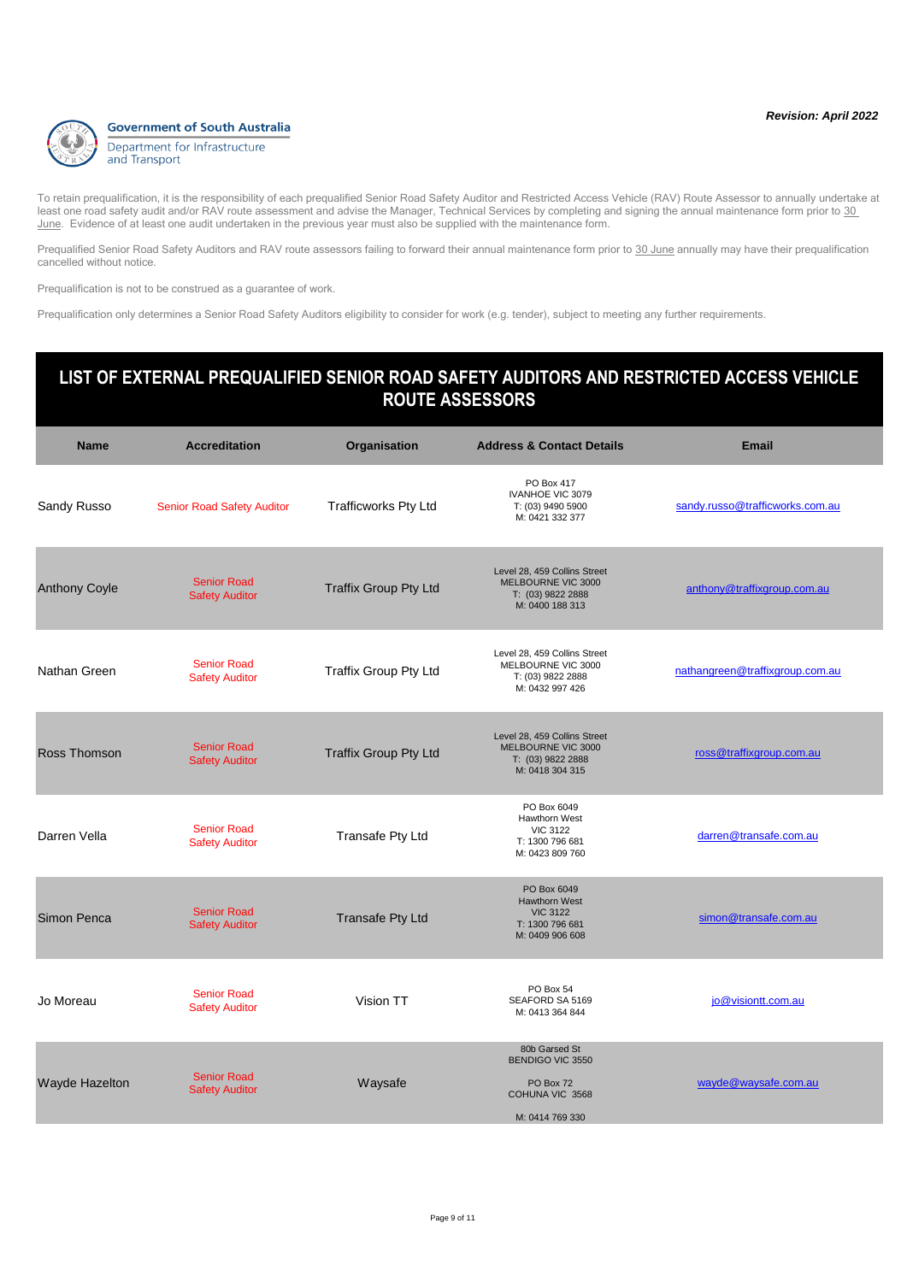

Prequalified Senior Road Safety Auditors and RAV route assessors failing to forward their annual maintenance form prior to 30 June annually may have their prequalification cancelled without notice.

Prequalification is not to be construed as a guarantee of work.

Prequalification only determines a Senior Road Safety Auditors eligibility to consider for work (e.g. tender), subject to meeting any further requirements.

### **Name Accreditation Organisation Address & Contact Details Email LIST OF EXTERNAL PREQUALIFIED SENIOR ROAD SAFETY AUDITORS AND RESTRICTED ACCESS VEHICLE ROUTE ASSESSORS** Sandy Russo Senior Road Safety Auditor Trafficworks Pty Ltd PO Box 417 IVANHOE VIC 3079 T: (03) 9490 5900 M: 0421 332 377 [sandy.russo@trafficworks.com.au](mailto:sandy.russo@trafficworks.com.au) Anthony Coyle<br>
Safety Auditor<br>
Safety Auditor Traffix Group Pty Ltd Level 28, 459 Collins Street MELBOURNE VIC 3000 T: (03) 9822 2888 M: 0400 188 313 [anthony@traffixgroup.com.au](mailto:anthony@traffixgroup.com.au) Nathan Green Senior Road<br>Safety Auditor Traffix Group Pty Ltd Level 28, 459 Collins Street MELBOURNE VIC 3000 T: (03) 9822 2888 M: 0432 997 426 [nathangreen@traffixgroup.com.au](mailto:nathangreen@traffixgroup.com.au) Ross Thomson<br>
Safety Auditor<br>
Safety Auditor Traffix Group Pty Ltd Level 28, 459 Collins Street MELBOURNE VIC 3000 T: (03) 9822 2888 M: 0418 304 315 [ross@traffixgroup.com.au](mailto:ross@traffixgroup.com.au) Darren Vella<br>
Safety Auditor Transafe Pty Ltd PO Box 6049 Hawthorn West VIC 3122 T: 1300 796 681 M: 0423 809 760 [darren@transafe.com.au](mailto:darren@transafe.com.au) Simon Penca<br>
Safety Auditor<br>
Safety Auditor Transafe Pty Ltd PO Box 6049 Hawthorn West VIC 3122 T: 1300 796 681 M: 0409 906 608 [simon@transafe.com.au](mailto:simon@transafe.com.au) PO Box 54

| Jo Moreau      | <b>Senior Road</b><br><b>Safety Auditor</b> | Vision TT | FU DUX 04<br>SEAFORD SA 5169<br>M: 0413 364 844 | jo@visiontt.com.au   |
|----------------|---------------------------------------------|-----------|-------------------------------------------------|----------------------|
|                |                                             |           | 80b Garsed St<br>BENDIGO VIC 3550               |                      |
| Wayde Hazelton | <b>Senior Road</b><br><b>Safety Auditor</b> | Waysafe   | PO Box 72<br>COHUNA VIC 3568                    | wayde@waysafe.com.au |
|                |                                             |           | M: 0414 769 330                                 |                      |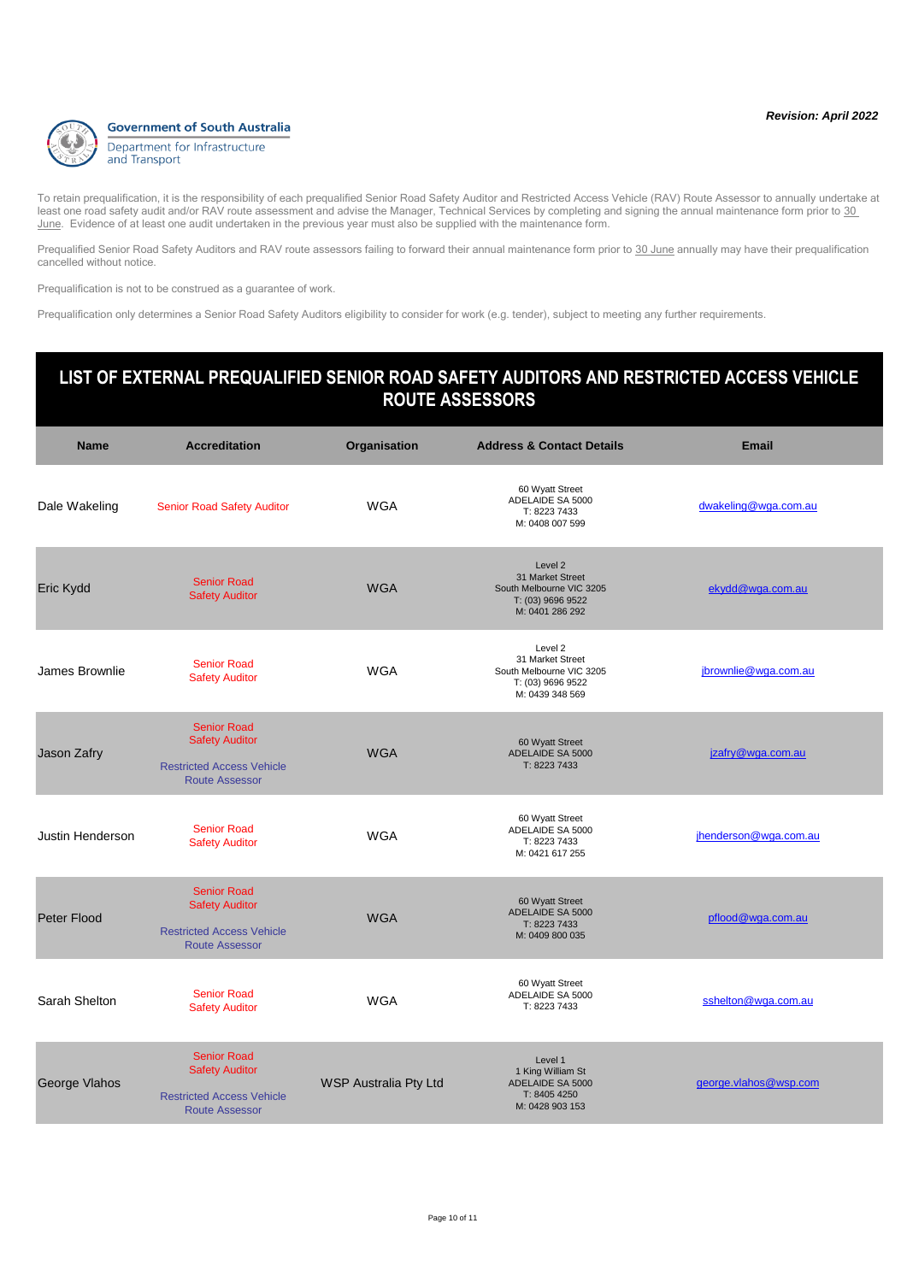

Prequalified Senior Road Safety Auditors and RAV route assessors failing to forward their annual maintenance form prior to 30 June annually may have their prequalification cancelled without notice.

Prequalification is not to be construed as a guarantee of work.

Prequalification only determines a Senior Road Safety Auditors eligibility to consider for work (e.g. tender), subject to meeting any further requirements.

| <b>Name</b>      | <b>Accreditation</b>                                                                                     | Organisation          | <b>Address &amp; Contact Details</b>                                                            | <b>Email</b>          |
|------------------|----------------------------------------------------------------------------------------------------------|-----------------------|-------------------------------------------------------------------------------------------------|-----------------------|
| Dale Wakeling    | <b>Senior Road Safety Auditor</b>                                                                        | <b>WGA</b>            | 60 Wyatt Street<br>ADELAIDE SA 5000<br>T: 8223 7433<br>M: 0408 007 599                          | dwakeling@wga.com.au  |
| Eric Kydd        | <b>Senior Road</b><br><b>Safety Auditor</b>                                                              | <b>WGA</b>            | Level 2<br>31 Market Street<br>South Melbourne VIC 3205<br>T: (03) 9696 9522<br>M: 0401 286 292 | ekydd@wga.com.au      |
| James Brownlie   | <b>Senior Road</b><br><b>Safety Auditor</b>                                                              | <b>WGA</b>            | Level 2<br>31 Market Street<br>South Melbourne VIC 3205<br>T: (03) 9696 9522<br>M: 0439 348 569 | jbrownlie@wga.com.au  |
| Jason Zafry      | <b>Senior Road</b><br><b>Safety Auditor</b><br><b>Restricted Access Vehicle</b><br><b>Route Assessor</b> | <b>WGA</b>            | 60 Wyatt Street<br>ADELAIDE SA 5000<br>T: 8223 7433                                             | jzafry@wga.com.au     |
| Justin Henderson | <b>Senior Road</b><br><b>Safety Auditor</b>                                                              | <b>WGA</b>            | 60 Wyatt Street<br>ADELAIDE SA 5000<br>T: 8223 7433<br>M: 0421 617 255                          | jhenderson@wga.com.au |
| Peter Flood      | <b>Senior Road</b><br><b>Safety Auditor</b><br><b>Restricted Access Vehicle</b><br><b>Route Assessor</b> | <b>WGA</b>            | 60 Wyatt Street<br>ADELAIDE SA 5000<br>T: 8223 7433<br>M: 0409 800 035                          | pflood@wga.com.au     |
| Sarah Shelton    | <b>Senior Road</b><br><b>Safety Auditor</b>                                                              | <b>WGA</b>            | 60 Wyatt Street<br>ADELAIDE SA 5000<br>T: 8223 7433                                             | sshelton@wga.com.au   |
| George Vlahos    | <b>Senior Road</b><br><b>Safety Auditor</b><br><b>Restricted Access Vehicle</b><br><b>Route Assessor</b> | WSP Australia Pty Ltd | Level 1<br>1 King William St<br>ADELAIDE SA 5000<br>T: 8405 4250<br>M: 0428 903 153             | george.vlahos@wsp.com |